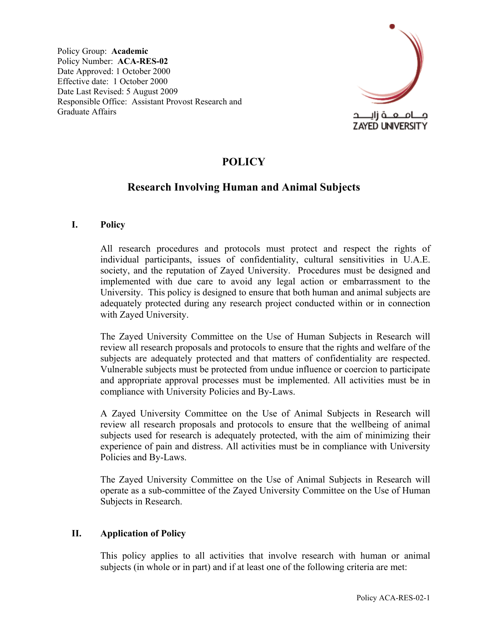Policy Group: **Academic**  Policy Number: **ACA-RES-02**  Date Approved: 1 October 2000 Effective date: 1 October 2000 Date Last Revised: 5 August 2009 Responsible Office: Assistant Provost Research and Graduate Affairs



# **POLICY**

# **Research Involving Human and Animal Subjects**

#### **I. Policy**

All research procedures and protocols must protect and respect the rights of individual participants, issues of confidentiality, cultural sensitivities in U.A.E. society, and the reputation of Zayed University. Procedures must be designed and implemented with due care to avoid any legal action or embarrassment to the University. This policy is designed to ensure that both human and animal subjects are adequately protected during any research project conducted within or in connection with Zayed University.

The Zayed University Committee on the Use of Human Subjects in Research will review all research proposals and protocols to ensure that the rights and welfare of the subjects are adequately protected and that matters of confidentiality are respected. Vulnerable subjects must be protected from undue influence or coercion to participate and appropriate approval processes must be implemented. All activities must be in compliance with University Policies and By-Laws.

A Zayed University Committee on the Use of Animal Subjects in Research will review all research proposals and protocols to ensure that the wellbeing of animal subjects used for research is adequately protected, with the aim of minimizing their experience of pain and distress. All activities must be in compliance with University Policies and By-Laws.

The Zayed University Committee on the Use of Animal Subjects in Research will operate as a sub-committee of the Zayed University Committee on the Use of Human Subjects in Research.

#### **II. Application of Policy**

This policy applies to all activities that involve research with human or animal subjects (in whole or in part) and if at least one of the following criteria are met: